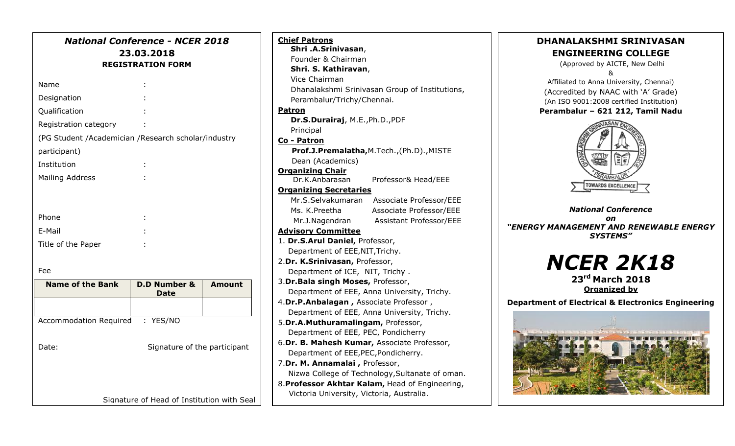|                                                     | <b>National Conference - NCER 2018</b><br>23.03.2018<br><b>REGISTRATION FORM</b> |               |
|-----------------------------------------------------|----------------------------------------------------------------------------------|---------------|
| Name                                                |                                                                                  |               |
| Designation                                         |                                                                                  |               |
| Qualification                                       |                                                                                  |               |
| Registration category                               |                                                                                  |               |
| (PG Student /Academician /Research scholar/industry |                                                                                  |               |
| participant)                                        |                                                                                  |               |
| Institution                                         |                                                                                  |               |
| <b>Mailing Address</b>                              |                                                                                  |               |
| Phone<br>E-Mail<br>Title of the Paper               |                                                                                  |               |
| Fee                                                 |                                                                                  |               |
| <b>Name of the Bank</b>                             | <b>D.D Number &amp;</b><br><b>Date</b>                                           | <b>Amount</b> |
|                                                     |                                                                                  |               |
| Accommodation Required : YES/NO                     |                                                                                  |               |
| Date:                                               | Signature of the participant                                                     |               |

Signature of Head of Institution with Seal

| <b>Chief Patrons</b>                            |                                                |  |  |  |
|-------------------------------------------------|------------------------------------------------|--|--|--|
| Shri .A.Srinivasan,                             |                                                |  |  |  |
| Founder & Chairman                              |                                                |  |  |  |
| Shri. S. Kathiravan,                            |                                                |  |  |  |
| Vice Chairman                                   |                                                |  |  |  |
|                                                 | Dhanalakshmi Srinivasan Group of Institutions, |  |  |  |
| Perambalur/Trichy/Chennai.                      |                                                |  |  |  |
| Patron                                          |                                                |  |  |  |
| Dr.S.Durairaj, M.E., Ph.D., PDF                 |                                                |  |  |  |
| Principal                                       |                                                |  |  |  |
| Co - Patron                                     |                                                |  |  |  |
| Prof.J.Premalatha, M.Tech., (Ph.D)., MISTE      |                                                |  |  |  |
| Dean (Academics)                                |                                                |  |  |  |
| <b>Organizing Chair</b>                         |                                                |  |  |  |
| Dr.K.Anbarasan                                  | Professor& Head/EEE                            |  |  |  |
| <b>Organizing Secretaries</b>                   |                                                |  |  |  |
| Mr.S.Selvakumaran                               | Associate Professor/EEE                        |  |  |  |
| Ms. K.Preetha                                   | Associate Professor/EEE                        |  |  |  |
| Mr.J.Nagendran                                  | <b>Assistant Professor/EEE</b>                 |  |  |  |
| <b>Advisory Committee</b>                       |                                                |  |  |  |
| 1. Dr.S.Arul Daniel, Professor,                 |                                                |  |  |  |
| Department of EEE, NIT, Trichy.                 |                                                |  |  |  |
| 2.Dr. K.Srinivasan, Professor,                  |                                                |  |  |  |
| Department of ICE, NIT, Trichy.                 |                                                |  |  |  |
| 3.Dr. Bala singh Moses, Professor,              |                                                |  |  |  |
| Department of EEE, Anna University, Trichy.     |                                                |  |  |  |
| 4.Dr.P.Anbalagan, Associate Professor,          |                                                |  |  |  |
| Department of EEE, Anna University, Trichy.     |                                                |  |  |  |
| 5.Dr.A.Muthuramalingam, Professor,              |                                                |  |  |  |
| Department of EEE, PEC, Pondicherry             |                                                |  |  |  |
| 6.Dr. B. Mahesh Kumar, Associate Professor,     |                                                |  |  |  |
| Department of EEE, PEC, Pondicherry.            |                                                |  |  |  |
| 7.Dr. M. Annamalai, Professor,                  |                                                |  |  |  |
| Nizwa College of Technology, Sultanate of oman. |                                                |  |  |  |
| 8. Professor Akhtar Kalam, Head of Engineering, |                                                |  |  |  |
| Victoria University, Victoria, Australia.       |                                                |  |  |  |

 $\overline{a}$ 



(Approved by AICTE, New Delhi &

Affiliated to Anna University, Chennai) (Accredited by NAAC with 'A' Grade) (An ISO 9001:2008 certified Institution)

#### **Perambalur – 621 212, Tamil Nadu**



*National Conference on "ENERGY MANAGEMENT AND RENEWABLE ENERGY SYSTEMS"*

> *NCER 2K18* **23rd March 2018**

**Organized by**

**Department of Electrical & Electronics Engineering**